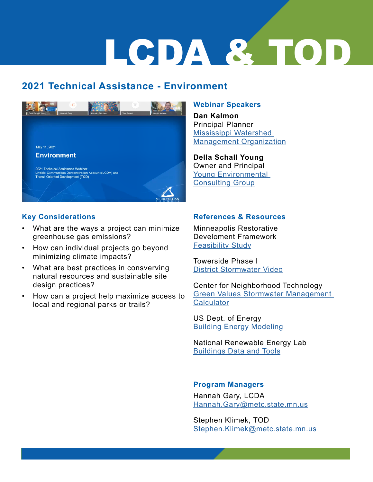## LCDA & TOD

### **2021 Technical Assistance - Environment**



### **Key Considerations**

- What are the ways a project can minimize greenhouse gas emissions?
- How can individual projects go beyond minimizing climate impacts?
- What are best practices in consverving natural resources and sustainable site design practices?
- How can a project help maximize access to local and regional parks or trails?

### **Webinar Speakers**

**Dan Kalmon** Principal Planner [Mississippi Watershed](https://www.mwmo.org/)  [Management Organization](https://www.mwmo.org/)

**Della Schall Young** Owner and Principal Young Environm[en](https://www.youngecg.com/)tal Consulting Group

### **References & Resources**

Minneapolis Restorative Develoment Framework [Feasibility Study](https://restorativedevelopmentpartnership.org/about/partnership-meetings/  )

Towerside Phase I [District Stormwater Video](https://gcc02.safelinks.protection.outlook.com/?url=https%3A%2F%2Fwww.youtube.com%2Fwatch%3Fv%3D1sPcWTKXc48&data=04%7C01%7CStephen.Klimek%40metc.state.mn.us%7C46e028f35db04b66401708d91494404d%7Cddbff68b482a457381e0fef8156a4fd0%7C0%7C1%7C637563450608306870%7CUnknown%7CTWFpbGZsb3d8eyJWIjoiMC4wLjAwMDAiLCJQIjoiV2luMzIiLCJBTiI6Ik1haWwiLCJXVCI6Mn0%3D%7C1000&sdata=CGpfZfhj1Nv8PgBopGpfGSe40sW0o6rQM0mEr25wGJI%3D&reserved=0)

Center for Neighborhood Technology [Green Values Stormwater Management](https://greenvalues.cnt.org/index.php)  **[Calculator](https://greenvalues.cnt.org/index.php)** 

US Dept. of Energy [Building Energy Modeling](https://www.energy.gov/eere/buildings/building-energy-modeling/)

National Renewable Energy Lab [Buildings Data and Tools](https://www.nrel.gov/buildings/data-tools.html)

### **Program Managers**

Hannah Gary, LCDA [Hannah.Gary@metc.state.mn.us](mailto:Hannah.Gary%40metc.state.mn.us%20?subject=)

Stephen Klimek, TOD [Stephen.Klimek@metc.state.mn.us](mailto:Stephen.Klimek%40metc.state.mn.us?subject=)